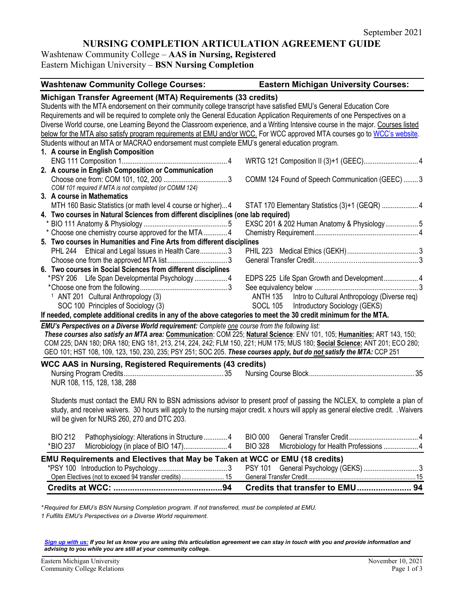# **NURSING COMPLETION ARTICULATION AGREEMENT GUIDE**

Washtenaw Community College – **AAS in Nursing, Registered** Eastern Michigan University – **BSN Nursing Completion** 

| <b>Washtenaw Community College Courses:</b>                                                                                         | <b>Eastern Michigan University Courses:</b>              |
|-------------------------------------------------------------------------------------------------------------------------------------|----------------------------------------------------------|
| Michigan Transfer Agreement (MTA) Requirements (33 credits)                                                                         |                                                          |
| Students with the MTA endorsement on their community college transcript have satisfied EMU's General Education Core                 |                                                          |
| Requirements and will be required to complete only the General Education Application Requirements of one Perspectives on a          |                                                          |
| Diverse World course, one Learning Beyond the Classroom experience, and a Writing Intensive course in the major. Courses listed     |                                                          |
| below for the MTA also satisfy program requirements at EMU and/or WCC. For WCC approved MTA courses go to WCC's website.            |                                                          |
| Students without an MTA or MACRAO endorsement must complete EMU's general education program.                                        |                                                          |
| 1. A course in English Composition                                                                                                  |                                                          |
|                                                                                                                                     |                                                          |
| 2. A course in English Composition or Communication                                                                                 |                                                          |
|                                                                                                                                     | COMM 124 Found of Speech Communication (GEEC)  3         |
| COM 101 required if MTA is not completed (or COMM 124)                                                                              |                                                          |
| 3. A course in Mathematics                                                                                                          |                                                          |
| MTH 160 Basic Statistics (or math level 4 course or higher) 4                                                                       | STAT 170 Elementary Statistics (3)+1 (GEQR)  4           |
| 4. Two courses in Natural Sciences from different disciplines (one lab required)                                                    |                                                          |
|                                                                                                                                     | EXSC 201 & 202 Human Anatomy & Physiology5               |
| * Choose one chemistry course approved for the MTA  4                                                                               |                                                          |
| 5. Two courses in Humanities and Fine Arts from different disciplines                                                               |                                                          |
| PHL 244 Ethical and Legal Issues in Health Care3                                                                                    |                                                          |
|                                                                                                                                     |                                                          |
| 6. Two courses in Social Sciences from different disciplines                                                                        |                                                          |
| *PSY 206 Life Span Developmental Psychology 4                                                                                       | EDPS 225 Life Span Growth and Development 4              |
|                                                                                                                                     |                                                          |
| <sup>1</sup> ANT 201 Cultural Anthropology (3)                                                                                      | ANTH 135 Intro to Cultural Anthropology (Diverse req)    |
| SOC 100 Principles of Sociology (3)                                                                                                 | SOCL 105 Introductory Sociology (GEKS)                   |
| If needed, complete additional credits in any of the above categories to meet the 30 credit minimum for the MTA.                    |                                                          |
| EMU's Perspectives on a Diverse World requirement: Complete one course from the following list:                                     |                                                          |
| These courses also satisfy an MTA area: Communication: COM 225; Natural Science: ENV 101, 105; Humanities: ART 143, 150;            |                                                          |
| COM 225; DAN 180; DRA 180; ENG 181, 213, 214, 224, 242; FLM 150, 221; HUM 175; MUS 180; Social Science: ANT 201; ECO 280;           |                                                          |
| GEO 101; HST 108, 109, 123, 150, 230, 235; PSY 251; SOC 205. These courses apply, but do not satisfy the MTA: CCP 251               |                                                          |
|                                                                                                                                     |                                                          |
| <b>WCC AAS in Nursing, Registered Requirements (43 credits)</b>                                                                     |                                                          |
|                                                                                                                                     |                                                          |
| NUR 108, 115, 128, 138, 288                                                                                                         |                                                          |
|                                                                                                                                     |                                                          |
| Students must contact the EMU RN to BSN admissions advisor to present proof of passing the NCLEX, to complete a plan of             |                                                          |
| study, and receive waivers. 30 hours will apply to the nursing major credit. x hours will apply as general elective credit. Waivers |                                                          |
| will be given for NURS 260, 270 and DTC 203.                                                                                        |                                                          |
|                                                                                                                                     |                                                          |
| <b>BIO 212</b><br>Pathophysiology: Alterations in Structure 4                                                                       | <b>BIO 000</b>                                           |
| *BIO 237<br>Microbiology (in place of BIO 147) 4                                                                                    | <b>BIO 328</b><br>Microbiology for Health Professions  4 |
| EMU Requirements and Electives that May be Taken at WCC or EMU (18 credits)                                                         |                                                          |
|                                                                                                                                     | General Psychology (GEKS)  3<br><b>PSY 101</b>           |
| Open Electives (not to exceed 94 transfer credits)  15                                                                              |                                                          |
|                                                                                                                                     |                                                          |

*\* Required for EMU's BSN Nursing Completion program. If not transferred, must be completed at EMU.* 

*1 Fulfills EMU's Perspectives on a Diverse World requirement.* 

*[Sign up with us:](https://www.emich.edu/ccr/articulation-agreements/signup.php) If you let us know you are using this articulation agreement we can stay in touch with you and provide information and advising to you while you are still at your community college.*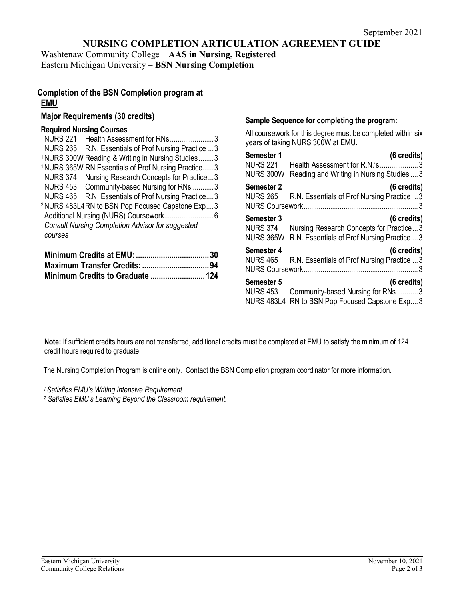# **NURSING COMPLETION ARTICULATION AGREEMENT GUIDE**

Washtenaw Community College – **AAS in Nursing, Registered** Eastern Michigan University – **BSN Nursing Completion** 

## **Completion of the BSN Completion program at EMU**

# **Major Requirements (30 credits)**

# **Required Nursing Courses**

| <b>NURS 221</b><br>Health Assessment for RNs3                  |  |
|----------------------------------------------------------------|--|
| NURS 265 R.N. Essentials of Prof Nursing Practice  3           |  |
| <sup>1</sup> NURS 300W Reading & Writing in Nursing Studies3   |  |
| <sup>1</sup> NURS 365W RN Essentials of Prof Nursing Practice3 |  |
| <b>NURS 374</b><br>Nursing Research Concepts for Practice3     |  |
| NURS 453 Community-based Nursing for RNs 3                     |  |
| NURS 465 R.N. Essentials of Prof Nursing Practice3             |  |
| <sup>2</sup> NURS 483L4RN to BSN Pop Focused Capstone Exp3     |  |
|                                                                |  |
| <b>Consult Nursing Completion Advisor for suggested</b>        |  |
| courses                                                        |  |
|                                                                |  |

#### **Sample Sequence for completing the program:**

All coursework for this degree must be completed within six years of taking NURS 300W at EMU.

| Semester 1                                         | (6 credits)                                                                                                     |
|----------------------------------------------------|-----------------------------------------------------------------------------------------------------------------|
| <b>NURS 221</b>                                    | Health Assessment for R.N.'s3                                                                                   |
| <b>NURS 300W</b>                                   | Reading and Writing in Nursing Studies  3                                                                       |
| Semester 2<br><b>NURS 265</b>                      | (6 credits)<br>R.N. Essentials of Prof Nursing Practice 3                                                       |
| Semester 3<br><b>NURS 374</b><br><b>NURS 365W</b>  | $(6 \text{ credits})$<br>Nursing Research Concepts for Practice3<br>R.N. Essentials of Prof Nursing Practice  3 |
| Semester 4<br><b>NURS 465</b>                      | (6 credits)<br>R.N. Essentials of Prof Nursing Practice  3                                                      |
| Semester 5<br><b>NURS 453</b><br><b>NURS 483L4</b> | (6 credits)<br>Community-based Nursing for RNs 3<br>RN to BSN Pop Focused Capstone Exp3                         |

**Note:** If sufficient credits hours are not transferred, additional credits must be completed at EMU to satisfy the minimum of 124 credit hours required to graduate.

The Nursing Completion Program is online only. Contact the BSN Completion program coordinator for more information.

*1 Satisfies EMU's Writing Intensive Requirement.*

*<sup>2</sup> Satisfies EMU's Learning Beyond the Classroom requirement.*